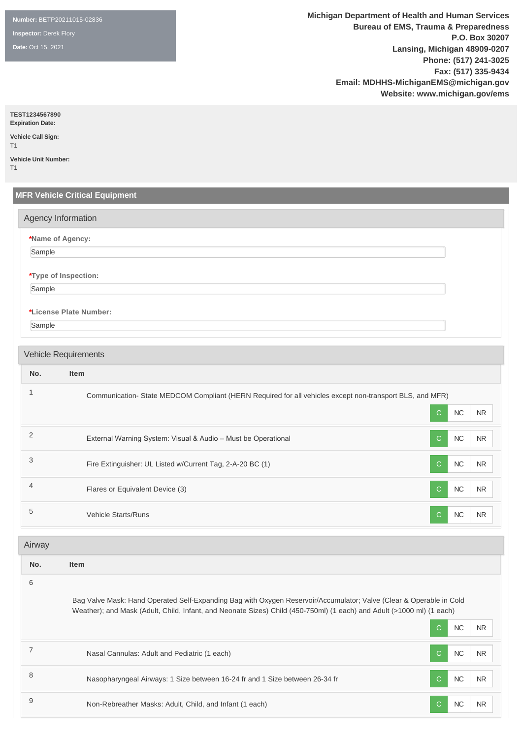**Number:** BETP20211015-02836

**Inspector:** Derek Flory

**Date:** Oct 15, 2021

**Michigan Department of Health and Human Services Bureau of EMS, Trauma & Preparedness P.O. Box 30207 Lansing, Michigan 48909-0207 Phone: (517) 241-3025 Fax: (517) 335-9434 Email: MDHHS-MichiganEMS@michigan.gov Website: www.michigan.gov/ems**

**TEST1234567890**

**Expiration Date: Vehicle Call Sign:** 

T1 **Vehicle Unit Number:** 

T1

|                | <b>MFR Vehicle Critical Equipment</b>                                                                                 |              |           |            |
|----------------|-----------------------------------------------------------------------------------------------------------------------|--------------|-----------|------------|
|                | Agency Information                                                                                                    |              |           |            |
| Sample         | *Name of Agency:                                                                                                      |              |           |            |
|                |                                                                                                                       |              |           |            |
| Sample         | *Type of Inspection:                                                                                                  |              |           |            |
|                |                                                                                                                       |              |           |            |
|                | *License Plate Number:                                                                                                |              |           |            |
| Sample         |                                                                                                                       |              |           |            |
|                | <b>Vehicle Requirements</b>                                                                                           |              |           |            |
| No.            | <b>Item</b>                                                                                                           |              |           |            |
| $\mathbf{1}$   | Communication-State MEDCOM Compliant (HERN Required for all vehicles except non-transport BLS, and MFR)               |              |           |            |
|                |                                                                                                                       | C.           | $NC$      | <b>NR</b>  |
| $\overline{2}$ | External Warning System: Visual & Audio - Must be Operational                                                         | $\mathbf C$  | <b>NC</b> | <b>NR</b>  |
| 3              | Fire Extinguisher: UL Listed w/Current Tag, 2-A-20 BC (1)                                                             | C            | $NC$      | <b>NR</b>  |
| $\overline{4}$ | Flares or Equivalent Device (3)                                                                                       | $\mathsf{C}$ | <b>NC</b> | <b>NR</b>  |
| 5              | Vehicle Starts/Runs                                                                                                   | $\mathsf{C}$ | NC        | <b>NR</b>  |
| Airway         |                                                                                                                       |              |           |            |
| No.            | <b>Item</b>                                                                                                           |              |           |            |
| 6              | Bag Valve Mask: Hand Operated Self-Expanding Bag with Oxygen Reservoir/Accumulator; Valve (Clear & Operable in Cold   |              |           |            |
|                | Weather); and Mask (Adult, Child, Infant, and Neonate Sizes) Child (450-750ml) (1 each) and Adult (>1000 ml) (1 each) | $\mathbf C$  | $NC$      | <b>NR</b>  |
| $\overline{7}$ | Nasal Cannulas: Adult and Pediatric (1 each)                                                                          | С            | $NC$      | <b>NR</b>  |
| 8              | Nasopharyngeal Airways: 1 Size between 16-24 fr and 1 Size between 26-34 fr                                           | $\mathsf{C}$ | $\sf NC$  | ${\sf NR}$ |

9 Non-Rebreather Masks: Adult, Child, and Infant (1 each) C NC NR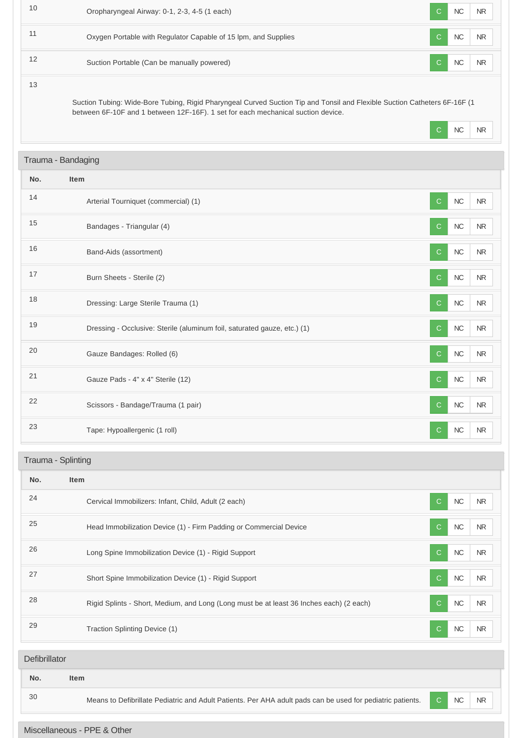| 10            | Oropharyngeal Airway: 0-1, 2-3, 4-5 (1 each)                                                                                                                                                                  | C  | NC         | <b>NR</b> |
|---------------|---------------------------------------------------------------------------------------------------------------------------------------------------------------------------------------------------------------|----|------------|-----------|
| 11            | Oxygen Portable with Regulator Capable of 15 lpm, and Supplies                                                                                                                                                | С  | $NC$       | NR        |
| 12            | Suction Portable (Can be manually powered)                                                                                                                                                                    | С  | NC         | NR        |
| 13            | Suction Tubing: Wide-Bore Tubing, Rigid Pharyngeal Curved Suction Tip and Tonsil and Flexible Suction Catheters 6F-16F (1<br>between 6F-10F and 1 between 12F-16F). 1 set for each mechanical suction device. | С  | <b>NC</b>  | NR        |
|               | Trauma - Bandaging                                                                                                                                                                                            |    |            |           |
| No.           | Item                                                                                                                                                                                                          |    |            |           |
| 14            | Arterial Tourniquet (commercial) (1)                                                                                                                                                                          | C. | $NC$       | <b>NR</b> |
| 15            | Bandages - Triangular (4)                                                                                                                                                                                     | С  | NC         | <b>NR</b> |
| 16            | Band-Aids (assortment)                                                                                                                                                                                        | C  | NC         | NR        |
| 17            | Burn Sheets - Sterile (2)                                                                                                                                                                                     | С  | $NC$       | <b>NR</b> |
| 18            | Dressing: Large Sterile Trauma (1)                                                                                                                                                                            | C. | $NC$       | <b>NR</b> |
| 19            | Dressing - Occlusive: Sterile (aluminum foil, saturated gauze, etc.) (1)                                                                                                                                      | C  | $NC$       | <b>NR</b> |
| 20            | Gauze Bandages: Rolled (6)                                                                                                                                                                                    | C  | $NC$       | <b>NR</b> |
| 21            | Gauze Pads - 4" x 4" Sterile (12)                                                                                                                                                                             | С  | <b>NC</b>  | <b>NR</b> |
| 22            | Scissors - Bandage/Trauma (1 pair)                                                                                                                                                                            | С  | NC         | <b>NR</b> |
| 23            | Tape: Hypoallergenic (1 roll)                                                                                                                                                                                 | C  | NC         | NR        |
|               | Trauma - Splinting                                                                                                                                                                                            |    |            |           |
| No.           | Item                                                                                                                                                                                                          |    |            |           |
| 24            | Cervical Immobilizers: Infant, Child, Adult (2 each)                                                                                                                                                          | C  | $NC$       | <b>NR</b> |
| 25            | Head Immobilization Device (1) - Firm Padding or Commercial Device                                                                                                                                            | С  | $NC$       | NR        |
| 26            | Long Spine Immobilization Device (1) - Rigid Support                                                                                                                                                          | С  | ${\sf NC}$ | <b>NR</b> |
| 27            | Short Spine Immobilization Device (1) - Rigid Support                                                                                                                                                         | С  | NC         | NR        |
| 28            | Rigid Splints - Short, Medium, and Long (Long must be at least 36 Inches each) (2 each)                                                                                                                       | С  | $NC$       | <b>NR</b> |
| 29            | Traction Splinting Device (1)                                                                                                                                                                                 | C  | <b>NC</b>  | <b>NR</b> |
| Defibrillator |                                                                                                                                                                                                               |    |            |           |
| No.           | Item                                                                                                                                                                                                          |    |            |           |
| 30            | Means to Defibrillate Pediatric and Adult Patients. Per AHA adult pads can be used for pediatric patients.                                                                                                    | C  | NC         | NR        |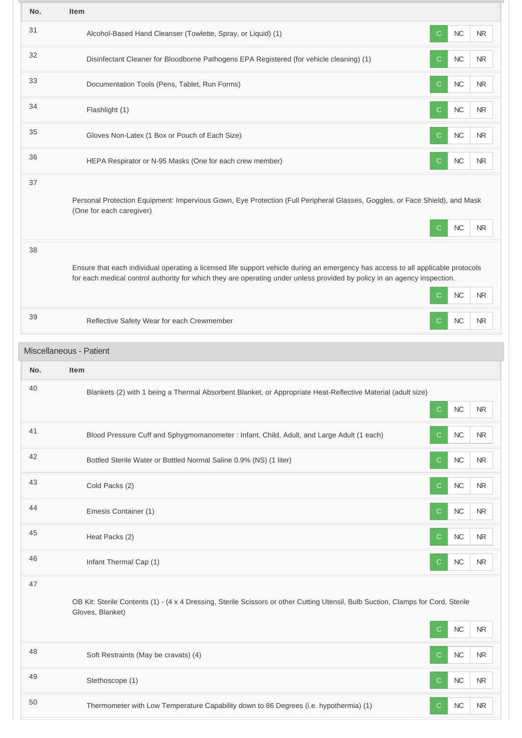| No. | Item                                                                                                                                                                                                                                                         |    |                        |  |
|-----|--------------------------------------------------------------------------------------------------------------------------------------------------------------------------------------------------------------------------------------------------------------|----|------------------------|--|
| 31  | Alcohol-Based Hand Cleanser (Towlette, Spray, or Liquid) (1)                                                                                                                                                                                                 | C  | $NC$<br><b>NR</b>      |  |
| 32  | Disinfectant Cleaner for Bloodborne Pathogens EPA Registered (for vehicle cleaning) (1)                                                                                                                                                                      | C  | $NC$<br>NR.            |  |
| 33  | Documentation Tools (Pens, Tablet, Run Forms)                                                                                                                                                                                                                | C  | NC<br><b>NR</b>        |  |
| 34  | Flashlight (1)                                                                                                                                                                                                                                               | C  | NC<br><b>NR</b>        |  |
| 35  | Gloves Non-Latex (1 Box or Pouch of Each Size)                                                                                                                                                                                                               | C. | NC<br><b>NR</b>        |  |
| 36  | HEPA Respirator or N-95 Masks (One for each crew member)                                                                                                                                                                                                     | С  | <b>NC</b><br>$\sf NR$  |  |
| 37  | Personal Protection Equipment: Impervious Gown, Eye Protection (Full Peripheral Glasses, Goggles, or Face Shield), and Mask<br>(One for each caregiver)                                                                                                      | С  | <b>NC</b><br>NR.       |  |
| 38  | Ensure that each individual operating a licensed life support vehicle during an emergency has access to all applicable protocols<br>for each medical control authority for which they are operating under unless provided by policy in an agency inspection. | C  | $NC$<br><b>NR</b>      |  |
| 39  | Reflective Safety Wear for each Crewmember                                                                                                                                                                                                                   | С  | NC<br>NR.              |  |
|     |                                                                                                                                                                                                                                                              |    |                        |  |
|     | Miscellaneous - Patient                                                                                                                                                                                                                                      |    |                        |  |
| No. | Item                                                                                                                                                                                                                                                         |    |                        |  |
| 40  | Blankets (2) with 1 being a Thermal Absorbent Blanket, or Appropriate Heat-Reflective Material (adult size)                                                                                                                                                  | C  | $NC$<br><b>NR</b>      |  |
| 41  | Blood Pressure Cuff and Sphygmomanometer : Infant, Child, Adult, and Large Adult (1 each)                                                                                                                                                                    | C  | NC<br><b>NR</b>        |  |
| 42  | Bottled Sterile Water or Bottled Normal Saline 0.9% (NS) (1 liter)                                                                                                                                                                                           | С  | <b>NC</b><br>NR        |  |
| 43  | Cold Packs (2)                                                                                                                                                                                                                                               | C  | NC<br><b>NR</b>        |  |
| 44  | Emesis Container (1)                                                                                                                                                                                                                                         | C  | NC<br>NR.              |  |
| 45  | Heat Packs (2)                                                                                                                                                                                                                                               | С  | $NC$<br><b>NR</b>      |  |
| 46  | Infant Thermal Cap (1)                                                                                                                                                                                                                                       | C  | NC<br>NR.              |  |
| 47  | OB Kit: Sterile Contents (1) - (4 x 4 Dressing, Sterile Scissors or other Cutting Utensil, Bulb Suction, Clamps for Cord, Sterile<br>Gloves, Blanket)                                                                                                        | С  | $NC$<br><b>NR</b>      |  |
| 48  | Soft Restraints (May be cravats) (4)                                                                                                                                                                                                                         | C  | <b>NC</b><br><b>NR</b> |  |
| 49  | Stethoscope (1)                                                                                                                                                                                                                                              | С  | NC<br><b>NR</b>        |  |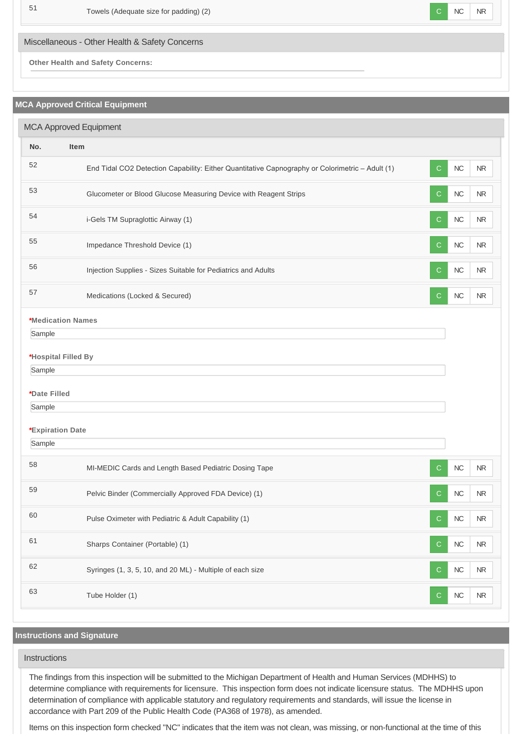

Miscellaneous - Other Health & Safety Concerns

**Other Health and Safety Concerns:**

## **MCA Approved Critical Equipment**

| <b>MCA Approved Equipment</b> |                                                                                                 |              |            |            |  |  |  |
|-------------------------------|-------------------------------------------------------------------------------------------------|--------------|------------|------------|--|--|--|
| No.                           | <b>Item</b>                                                                                     |              |            |            |  |  |  |
| 52                            | End Tidal CO2 Detection Capability: Either Quantitative Capnography or Colorimetric - Adult (1) | $\mathsf{C}$ | NC         | NR         |  |  |  |
| 53                            | Glucometer or Blood Glucose Measuring Device with Reagent Strips                                | С            | <b>NC</b>  | NR         |  |  |  |
| 54                            | i-Gels TM Supraglottic Airway (1)                                                               | С            | $NC$       | NR         |  |  |  |
| 55                            | Impedance Threshold Device (1)                                                                  | C            | $NC$       | <b>NR</b>  |  |  |  |
| 56                            | Injection Supplies - Sizes Suitable for Pediatrics and Adults                                   | C            | NC         | <b>NR</b>  |  |  |  |
| 57                            | Medications (Locked & Secured)                                                                  | С            | NC         | <b>NR</b>  |  |  |  |
| <b>*Medication Names</b>      |                                                                                                 |              |            |            |  |  |  |
| Sample                        |                                                                                                 |              |            |            |  |  |  |
| *Hospital Filled By           |                                                                                                 |              |            |            |  |  |  |
| Sample                        |                                                                                                 |              |            |            |  |  |  |
| *Date Filled                  |                                                                                                 |              |            |            |  |  |  |
| Sample                        |                                                                                                 |              |            |            |  |  |  |
| *Expiration Date              |                                                                                                 |              |            |            |  |  |  |
| Sample                        |                                                                                                 |              |            |            |  |  |  |
| 58                            | MI-MEDIC Cards and Length Based Pediatric Dosing Tape                                           | C            | NC         | NR         |  |  |  |
| 59                            | Pelvic Binder (Commercially Approved FDA Device) (1)                                            | С            | <b>NC</b>  | NR         |  |  |  |
| 60                            | Pulse Oximeter with Pediatric & Adult Capability (1)                                            | $\mathsf{C}$ | ${\sf NC}$ | NR         |  |  |  |
| 61                            | Sharps Container (Portable) (1)                                                                 | $\mathsf{C}$ | ${\sf NC}$ | ${\sf NR}$ |  |  |  |
| 62                            | Syringes (1, 3, 5, 10, and 20 ML) - Multiple of each size                                       | C            | ${\sf NC}$ | ${\sf NR}$ |  |  |  |
| 63                            | Tube Holder (1)                                                                                 | $\mathsf{C}$ | ${\sf NC}$ | ${\sf NR}$ |  |  |  |
|                               |                                                                                                 |              |            |            |  |  |  |

## **Instructions and Signature**

# **Instructions**

The findings from this inspection will be submitted to the Michigan Department of Health and Human Services (MDHHS) to determine compliance with requirements for licensure. This inspection form does not indicate licensure status. The MDHHS upon determination of compliance with applicable statutory and regulatory requirements and standards, will issue the license in accordance with Part 209 of the Public Health Code (PA368 of 1978), as amended.

Items on this inspection form checked "NC" indicates that the item was not clean, was missing, or non-functional at the time of this